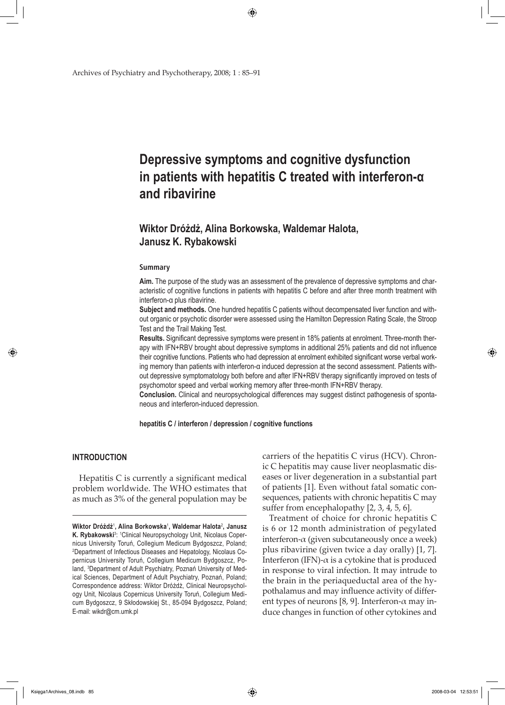Archives of Psychiatry and Psychotherapy, 2008; 1 : 85–91

# **Depressive symptoms and cognitive dysfunction in patients with hepatitis C treated with interferon-α and ribavirine**

## **Wiktor Dróżdż, Alina Borkowska, Waldemar Halota, Janusz K. Rybakowski**

⊕

#### **Summary**

**Aim.** The purpose of the study was an assessment of the prevalence of depressive symptoms and characteristic of cognitive functions in patients with hepatitis C before and after three month treatment with interferon-α plus ribavirine.

**Subject and methods.** One hundred hepatitis C patients without decompensated liver function and without organic or psychotic disorder were assessed using the Hamilton Depression Rating Scale, the Stroop Test and the Trail Making Test.

**Results.** Significant depressive symptoms were present in 18% patients at enrolment. Three-month therapy with IFN+RBV brought about depressive symptoms in additional 25% patients and did not influence their cognitive functions. Patients who had depression at enrolment exhibited significant worse verbal working memory than patients with interferon-α induced depression at the second assessment. Patients without depressive symptomatology both before and after IFN+RBV therapy significantly improved on tests of psychomotor speed and verbal working memory after three-month IFN+RBV therapy.

**Conclusion.** Clinical and neuropsychological differences may suggest distinct pathogenesis of spontaneous and interferon-induced depression.

**hepatitis C / interferon / depression / cognitive functions**

#### **INTRODUCTION**

↔

Hepatitis C is currently a significant medical problem worldwide. The WHO estimates that as much as 3% of the general population may be

carriers of the hepatitis C virus (HCV). Chronic C hepatitis may cause liver neoplasmatic diseases or liver degeneration in a substantial part of patients [1]. Even without fatal somatic consequences, patients with chronic hepatitis C may suffer from encephalopathy [2, 3, 4, 5, 6].

Treatment of choice for chronic hepatitis C is 6 or 12 month administration of pegylated interferon- $\alpha$  (given subcutaneously once a week) plus ribavirine (given twice a day orally) [1, 7]. Interferon (IFN)-α is a cytokine that is produced in response to viral infection. It may intrude to the brain in the periaqueductal area of the hypothalamus and may influence activity of different types of neurons [8, 9]. Interferon- $\alpha$  may induce changes in function of other cytokines and

**Wiktor Dróżdż**<sup>1</sup> **, Alina Borkowska**<sup>1</sup> **, Waldemar Halota**<sup>2</sup> **, Janusz**  K. Rybakowski<sup>3</sup>: <sup>1</sup>Clinical Neuropsychology Unit, Nicolaus Copernicus University Toruń, Collegium Medicum Bydgoszcz, Poland; 2 Department of Infectious Diseases and Hepatology, Nicolaus Copernicus University Toruń, Collegium Medicum Bydgoszcz, Poland, 3 Department of Adult Psychiatry, Poznań University of Medical Sciences, Department of Adult Psychiatry, Poznań, Poland; Correspondence address: Wiktor Dróżdż, Clinical Neuropsychology Unit, Nicolaus Copernicus University Toruń, Collegium Medicum Bydgoszcz, 9 Skłodowskiej St., 85-094 Bydgoszcz, Poland; E-mail: wikdr@cm.umk.pl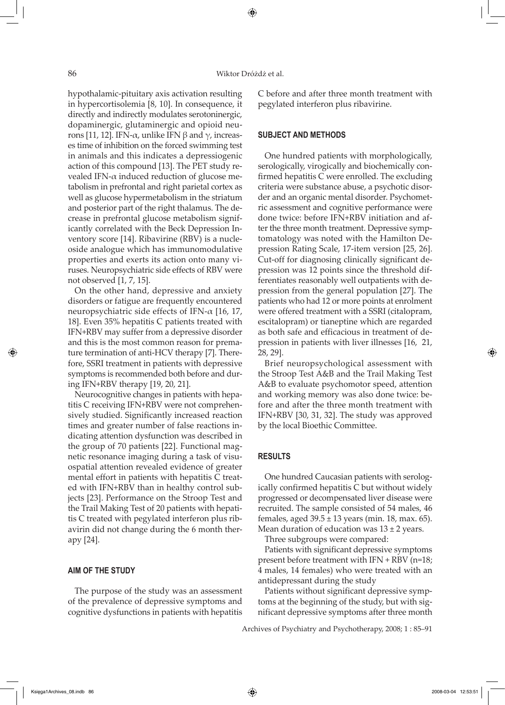⇔

⊕

hypothalamic-pituitary axis activation resulting in hypercortisolemia [8, 10]. In consequence, it directly and indirectly modulates serotoninergic, dopaminergic, glutaminergic and opioid neurons [11, 12]. IFN- $\alpha$ , unlike IFN β and γ, increases time of inhibition on the forced swimming test in animals and this indicates a depressiogenic action of this compound [13]. The PET study revealed IFN- $\alpha$  induced reduction of glucose metabolism in prefrontal and right parietal cortex as well as glucose hypermetabolism in the striatum and posterior part of the right thalamus. The decrease in prefrontal glucose metabolism significantly correlated with the Beck Depression Inventory score [14]. Ribavirine (RBV) is a nucleoside analogue which has immunomodulative properties and exerts its action onto many viruses. Neuropsychiatric side effects of RBV were not observed [1, 7, 15].

On the other hand, depressive and anxiety disorders or fatigue are frequently encountered neuropsychiatric side effects of IFN-α [16, 17, 18]. Even 35% hepatitis C patients treated with IFN+RBV may suffer from a depressive disorder and this is the most common reason for premature termination of anti-HCV therapy [7]. Therefore, SSRI treatment in patients with depressive symptoms is recommended both before and during IFN+RBV therapy [19, 20, 21].

Neurocognitive changes in patients with hepatitis C receiving IFN+RBV were not comprehensively studied. Significantly increased reaction times and greater number of false reactions indicating attention dysfunction was described in the group of 70 patients [22]. Functional magnetic resonance imaging during a task of visuospatial attention revealed evidence of greater mental effort in patients with hepatitis C treated with IFN+RBV than in healthy control subjects [23]. Performance on the Stroop Test and the Trail Making Test of 20 patients with hepatitis C treated with pegylated interferon plus ribavirin did not change during the 6 month therapy [24].

#### **AIM OF THE STUDY**

The purpose of the study was an assessment of the prevalence of depressive symptoms and cognitive dysfunctions in patients with hepatitis C before and after three month treatment with pegylated interferon plus ribavirine.

#### **SUBJECT AND METHODS**

One hundred patients with morphologically, serologically, virogically and biochemically confirmed hepatitis C were enrolled. The excluding criteria were substance abuse, a psychotic disorder and an organic mental disorder. Psychometric assessment and cognitive performance were done twice: before IFN+RBV initiation and after the three month treatment. Depressive symptomatology was noted with the Hamilton Depression Rating Scale, 17-item version [25, 26]. Cut-off for diagnosing clinically significant depression was 12 points since the threshold differentiates reasonably well outpatients with depression from the general population [27]. The patients who had 12 or more points at enrolment were offered treatment with a SSRI (citalopram, escitalopram) or tianeptine which are regarded as both safe and efficacious in treatment of depression in patients with liver illnesses [16, 21, 28, 29].

Brief neuropsychological assessment with the Stroop Test A&B and the Trail Making Test A&B to evaluate psychomotor speed, attention and working memory was also done twice: before and after the three month treatment with IFN+RBV [30, 31, 32]. The study was approved by the local Bioethic Committee.

#### **RESULTS**

One hundred Caucasian patients with serologically confirmed hepatitis C but without widely progressed or decompensated liver disease were recruited. The sample consisted of 54 males, 46 females, aged  $39.5 \pm 13$  years (min. 18, max. 65). Mean duration of education was  $13 \pm 2$  years.

Three subgroups were compared:

Patients with significant depressive symptoms present before treatment with IFN + RBV (n=18; 4 males, 14 females) who were treated with an antidepressant during the study

Patients without significant depressive symptoms at the beginning of the study, but with significant depressive symptoms after three month

Archives of Psychiatry and Psychotherapy, 2008; 1 : 85–91

 $\Leftrightarrow$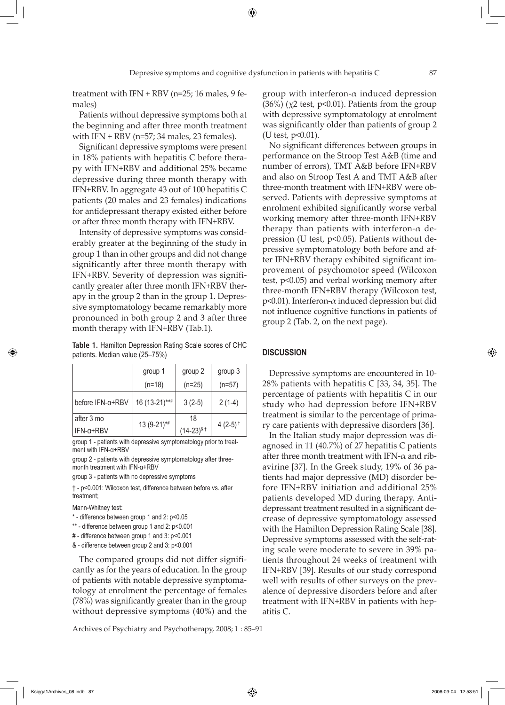⊕

Patients without depressive symptoms both at the beginning and after three month treatment with  $IFN + RBV$  (n=57; 34 males, 23 females).

Significant depressive symptoms were present in 18% patients with hepatitis C before therapy with IFN+RBV and additional 25% became depressive during three month therapy with IFN+RBV. In aggregate 43 out of 100 hepatitis C patients (20 males and 23 females) indications for antidepressant therapy existed either before or after three month therapy with IFN+RBV.

Intensity of depressive symptoms was considerably greater at the beginning of the study in group 1 than in other groups and did not change significantly after three month therapy with IFN+RBV. Severity of depression was significantly greater after three month IFN+RBV therapy in the group 2 than in the group 1. Depressive symptomatology became remarkably more pronounced in both group 2 and 3 after three month therapy with IFN+RBV (Tab.1).

**Table 1.** Hamilton Depression Rating Scale scores of CHC patients. Median value (25–75%)

|                  | group 1       | group 2                    | group 3                |
|------------------|---------------|----------------------------|------------------------|
|                  | $(n=18)$      | $(n=25)$                   | $(n=57)$               |
| before IFN-a+RBV | 16 (13-21)*** | $3(2-5)$                   | $2(1-4)$               |
| after 3 mo       | 13 (9-21)*#   | 18                         | 4 $(2-5)$ <sup>†</sup> |
| $IFN-a+RBV$      |               | $(14-23)^{8}$ <sup>†</sup> |                        |

group 1 - patients with depressive symptomatology prior to treatment with IFN-α+RBV

group 2 - patients with depressive symptomatology after threemonth treatment with IFN-α+RBV

group 3 - patients with no depressive symptoms

† - p<0.001: Wilcoxon test, difference between before vs. after treatment;

Mann-Whitney test:

↔

\* - difference between group 1 and 2: p<0.05

\*\* - difference between group 1 and 2: p<0.001

# - difference between group 1 and 3: p<0.001

& - difference between group 2 and 3: p<0.001

The compared groups did not differ significantly as for the years of education. In the group of patients with notable depressive symptomatology at enrolment the percentage of females (78%) was significantly greater than in the group without depressive symptoms (40%) and the

Archives of Psychiatry and Psychotherapy, 2008; 1 : 85–91

group with interferon- $\alpha$  induced depression (36%) ( $\chi$ 2 test, p<0.01). Patients from the group with depressive symptomatology at enrolment was significantly older than patients of group 2 (U test,  $p<0.01$ ).

No significant differences between groups in performance on the Stroop Test A&B (time and number of errors), TMT A&B before IFN+RBV and also on Stroop Test A and TMT A&B after three-month treatment with IFN+RBV were observed. Patients with depressive symptoms at enrolment exhibited significantly worse verbal working memory after three-month IFN+RBV therapy than patients with interferon- $\alpha$  depression (U test, p<0.05). Patients without depressive symptomatology both before and after IFN+RBV therapy exhibited significant improvement of psychomotor speed (Wilcoxon test, p<0.05) and verbal working memory after three-month IFN+RBV therapy (Wilcoxon test, p<0.01). Interferon-α induced depression but did not influence cognitive functions in patients of group 2 (Tab. 2, on the next page).

#### **DISCUSSION**

Depressive symptoms are encountered in 10- 28% patients with hepatitis C [33, 34, 35]. The percentage of patients with hepatitis C in our study who had depression before IFN+RBV treatment is similar to the percentage of primary care patients with depressive disorders [36].

In the Italian study major depression was diagnosed in 11 (40.7%) of 27 hepatitis C patients after three month treatment with IFN- $\alpha$  and ribavirine [37]. In the Greek study, 19% of 36 patients had major depressive (MD) disorder before IFN+RBV initiation and additional 25% patients developed MD during therapy. Antidepressant treatment resulted in a significant decrease of depressive symptomatology assessed with the Hamilton Depression Rating Scale [38]. Depressive symptoms assessed with the self-rating scale were moderate to severe in 39% patients throughout 24 weeks of treatment with IFN+RBV [39]. Results of our study correspond well with results of other surveys on the prevalence of depressive disorders before and after treatment with IFN+RBV in patients with hepatitis C.

Księga1Archives\_08.indb 87 2008-03-04 12:53:51

 $\Leftrightarrow$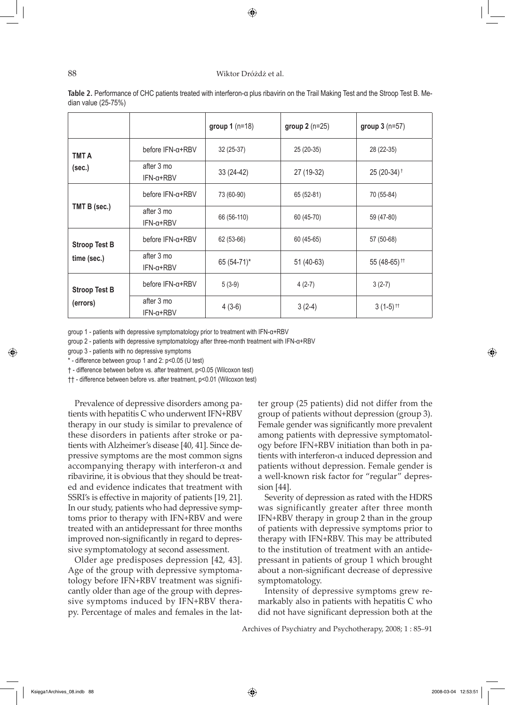#### 88 Wiktor Dróżdż et al.

⊕

|                                     |                                | group $1(n=18)$ | group $2(n=25)$ | group $3(n=57)$          |
|-------------------------------------|--------------------------------|-----------------|-----------------|--------------------------|
| <b>TMT A</b><br>(sec.)              | before IFN-a+RBV               | 32 (25-37)      | 25 (20-35)      | 28 (22-35)               |
|                                     | after 3 mo<br>$IFN-\alpha+RBV$ | 33 (24-42)      | 27 (19-32)      | 25 (20-34) <sup>+</sup>  |
| TMT B (sec.)                        | before IFN-a+RBV               | 73 (60-90)      | 65 (52-81)      | 70 (55-84)               |
|                                     | after 3 mo<br>$IFN-\alpha+RBV$ | 66 (56-110)     | 60 (45-70)      | 59 (47-80)               |
| <b>Stroop Test B</b><br>time (sec.) | before IFN-a+RBV               | 62 (53-66)      | 60 (45-65)      | 57 (50-68)               |
|                                     | after 3 mo<br>$IFN-\alpha+RBV$ | 65 (54-71)*     | 51 (40-63)      | 55 (48-65) <sup>11</sup> |
| <b>Stroop Test B</b><br>(errors)    | before IFN-a+RBV               | $5(3-9)$        | $4(2-7)$        | $3(2-7)$                 |
|                                     | after 3 mo<br>$IFN-\alpha+RBV$ | $4(3-6)$        | $3(2-4)$        | $3(1-5)$ <sup>tt</sup>   |

**Table 2.** Performance of CHC patients treated with interferon-α plus ribavirin on the Trail Making Test and the Stroop Test B. Median value (25-75%)

group 1 - patients with depressive symptomatology prior to treatment with IFN-α+RBV

group 2 - patients with depressive symptomatology after three-month treatment with IFN-α+RBV

group 3 - patients with no depressive symptoms

\* - difference between group 1 and 2: p<0.05 (U test)

† - difference between before vs. after treatment, p<0.05 (Wilcoxon test)

†† - difference between before vs. after treatment, p<0.01 (Wilcoxon test)

Prevalence of depressive disorders among patients with hepatitis C who underwent IFN+RBV therapy in our study is similar to prevalence of these disorders in patients after stroke or patients with Alzheimer's disease [40, 41]. Since depressive symptoms are the most common signs accompanying therapy with interferon- $\alpha$  and ribavirine, it is obvious that they should be treated and evidence indicates that treatment with SSRI's is effective in majority of patients [19, 21]. In our study, patients who had depressive symptoms prior to therapy with IFN+RBV and were treated with an antidepressant for three months improved non-significantly in regard to depressive symptomatology at second assessment.

Older age predisposes depression [42, 43]. Age of the group with depressive symptomatology before IFN+RBV treatment was significantly older than age of the group with depressive symptoms induced by IFN+RBV therapy. Percentage of males and females in the lat-

ter group (25 patients) did not differ from the group of patients without depression (group 3). Female gender was significantly more prevalent among patients with depressive symptomatology before IFN+RBV initiation than both in patients with interferon- $\alpha$  induced depression and patients without depression. Female gender is a well-known risk factor for "regular" depression [44].

Severity of depression as rated with the HDRS was significantly greater after three month IFN+RBV therapy in group 2 than in the group of patients with depressive symptoms prior to therapy with IFN+RBV. This may be attributed to the institution of treatment with an antidepressant in patients of group 1 which brought about a non-significant decrease of depressive symptomatology.

Intensity of depressive symptoms grew remarkably also in patients with hepatitis C who did not have significant depression both at the

Archives of Psychiatry and Psychotherapy, 2008; 1 : 85–91

↔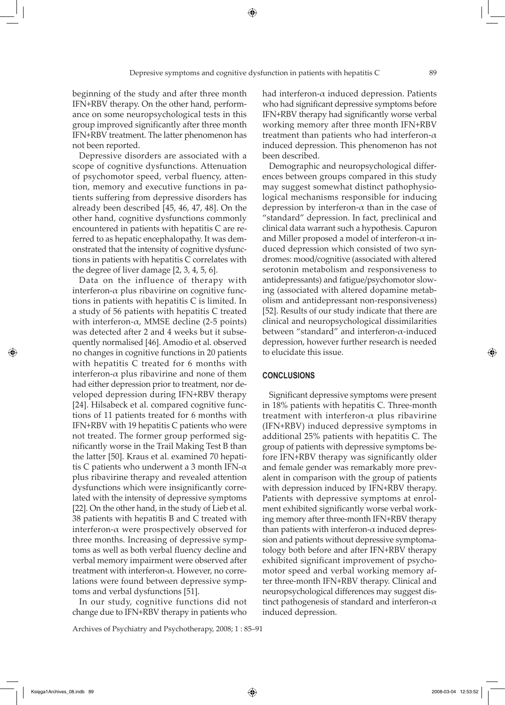⊕

beginning of the study and after three month IFN+RBV therapy. On the other hand, performance on some neuropsychological tests in this group improved significantly after three month IFN+RBV treatment. The latter phenomenon has not been reported.

Depressive disorders are associated with a scope of cognitive dysfunctions. Attenuation of psychomotor speed, verbal fluency, attention, memory and executive functions in patients suffering from depressive disorders has already been described [45, 46, 47, 48]. On the other hand, cognitive dysfunctions commonly encountered in patients with hepatitis C are referred to as hepatic encephalopathy. It was demonstrated that the intensity of cognitive dysfunctions in patients with hepatitis C correlates with the degree of liver damage [2, 3, 4, 5, 6].

Data on the influence of therapy with interferon- $α$  plus ribavirine on cognitive functions in patients with hepatitis C is limited. In a study of 56 patients with hepatitis C treated with interferon- $\alpha$ , MMSE decline (2-5 points) was detected after 2 and 4 weeks but it subsequently normalised [46]. Amodio et al. observed no changes in cognitive functions in 20 patients with hepatitis C treated for 6 months with interferon- $\alpha$  plus ribavirine and none of them had either depression prior to treatment, nor developed depression during IFN+RBV therapy [24]. Hilsabeck et al. compared cognitive functions of 11 patients treated for 6 months with IFN+RBV with 19 hepatitis C patients who were not treated. The former group performed significantly worse in the Trail Making Test B than the latter [50]. Kraus et al. examined 70 hepatitis C patients who underwent a 3 month IFN- $\alpha$ plus ribavirine therapy and revealed attention dysfunctions which were insignificantly correlated with the intensity of depressive symptoms [22]. On the other hand, in the study of Lieb et al. 38 patients with hepatitis B and C treated with interferon-α were prospectively observed for three months. Increasing of depressive symptoms as well as both verbal fluency decline and verbal memory impairment were observed after treatment with interferon-α. However, no correlations were found between depressive symptoms and verbal dysfunctions [51].

In our study, cognitive functions did not change due to IFN+RBV therapy in patients who

Archives of Psychiatry and Psychotherapy, 2008; 1 : 85–91

had interferon- $\alpha$  induced depression. Patients who had significant depressive symptoms before IFN+RBV therapy had significantly worse verbal working memory after three month IFN+RBV treatment than patients who had interferon- $\alpha$ induced depression. This phenomenon has not been described.

Demographic and neuropsychological differences between groups compared in this study may suggest somewhat distinct pathophysiological mechanisms responsible for inducing depression by interferon-α than in the case of "standard" depression. In fact, preclinical and clinical data warrant such a hypothesis. Capuron and Miller proposed a model of interferon- $\alpha$  induced depression which consisted of two syndromes: mood/cognitive (associated with altered serotonin metabolism and responsiveness to antidepressants) and fatigue/psychomotor slowing (associated with altered dopamine metabolism and antidepressant non-responsiveness) [52]. Results of our study indicate that there are clinical and neuropsychological dissimilarities between "standard" and interferon-α-induced depression, however further research is needed to elucidate this issue.

#### **CONCLUSIONS**

Significant depressive symptoms were present in 18% patients with hepatitis C. Three-month treatment with interferon- $\alpha$  plus ribavirine (IFN+RBV) induced depressive symptoms in additional 25% patients with hepatitis C. The group of patients with depressive symptoms before IFN+RBV therapy was significantly older and female gender was remarkably more prevalent in comparison with the group of patients with depression induced by IFN+RBV therapy. Patients with depressive symptoms at enrolment exhibited significantly worse verbal working memory after three-month IFN+RBV therapy than patients with interferon- $\alpha$  induced depression and patients without depressive symptomatology both before and after IFN+RBV therapy exhibited significant improvement of psychomotor speed and verbal working memory after three-month IFN+RBV therapy. Clinical and neuropsychological differences may suggest distinct pathogenesis of standard and interferon- $\alpha$ induced depression.

⇔

 $\Leftrightarrow$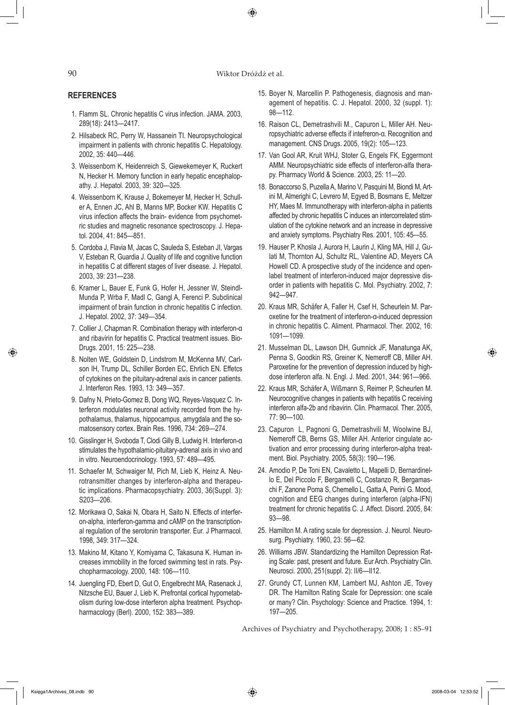90 Wiktor Dróżdż et al.

⊕

#### **REFERENCES**

- 1. Flamm SL. Chronic hepatitis C virus infection. JAMA. 2003, 289(18): 2413—2417.
- 2. Hilsabeck RC, Perry W, Hassanein TI. Neuropsychological impairment in patients with chronic hepatitis C. Hepatology. 2002, 35: 440—446.
- 3. Weissenborn K, Heidenreich S, Giewekemeyer K, Ruckert N, Hecker H. Memory function in early hepatic encephalopathy. J. Hepatol. 2003, 39: 320—325.
- 4. Weissenborn K, Krause J, Bokemeyer M, Hecker H, Schuller A, Ennen JC, Ahl B, Manns MP, Bocker KW. Hepatitis C virus infection affects the brain- evidence from psychometric studies and magnetic resonance spectroscopy. J. Hepatol. 2004, 41: 845—851.
- 5. Cordoba J, Flavia M, Jacas C, Sauleda S, Esteban JI, Vargas V, Esteban R, Guardia J. Quality of life and cognitive function in hepatitis C at different stages of liver disease. J. Hepatol. 2003, 39: 231—238.
- 6. Kramer L, Bauer E, Funk G, Hofer H, Jessner W, Steindl-Munda P, Wrba F, Madl C, Gangl A, Ferenci P. Subclinical impairment of brain function in chronic hepatitis C infection. J. Hepatol. 2002, 37: 349—354.
- 7. Collier J, Chapman R. Combination therapy with interferon-α and ribavirin for hepatitis C. Practical treatment issues. Bio-Drugs. 2001, 15: 225—238.
- 8. Nolten WE, Goldstein D, Lindstrom M, McKenna MV, Carlson IH, Trump DL, Schiller Borden EC, Ehrlich EN. Effetcs of cytokines on the pituitary-adrenal axis in cancer patients. J. Interferon Res. 1993, 13: 349—357.
- 9. Dafny N, Prieto-Gomez B, Dong WQ, Reyes-Vasquez C. Interferon modulates neuronal activity recorded from the hypothalamus, thalamus, hippocampus, amygdala and the somatosensory cortex. Brain Res. 1996, 734: 269—274.
- 10. Gisslinger H, Svoboda T, Clodi Gilly B, Ludwig H. Interferon-α stimulates the hypothalamic-pituitary-adrenal axis in vivo and in vitro. Neuroendocrinology. 1993, 57: 489—495.
- 11. Schaefer M, Schwaiger M, Pich M, Lieb K, Heinz A. Neurotransmitter changes by interferon-alpha and therapeutic implications. Pharmacopsychiatry. 2003, 36(Suppl. 3): S203—206.
- 12. Morikawa O, Sakai N, Obara H, Saito N. Effects of interferon-alpha, interferon-gamma and cAMP on the transcriptional regulation of the serotonin transporter. Eur. J Pharmacol. 1998, 349: 317—324.
- 13. Makino M, Kitano Y, Komiyama C, Takasuna K. Human increases immobility in the forced swimming test in rats. Psychopharmacology. 2000, 148: 106—110.
- 14. Juengling FD, Ebert D, Gut O, Engelbrecht MA, Rasenack J, Nitzsche EU, Bauer J, Lieb K. Prefrontal cortical hypometabolism during low-dose interferon alpha treatment. Psychopharmacology (Berl). 2000, 152: 383—389.
- 15. Boyer N, Marcellin P. Pathogenesis, diagnosis and management of hepatitis. C. J. Hepatol. 2000, 32 (suppl. 1): 98—112.
- 16. Raison CL, Demetrashvili M., Capuron L, Miller AH. Neuropsychiatric adverse effects if intefreron-α. Recognition and management. CNS Drugs. 2005, 19(2): 105—123.
- 17. Van Gool AR, Kruit WHJ, Stoter G, Engels FK, Eggermont AMM. Neuropsychiatric side effects of interferon-alfa therapy. Pharmacy World & Science. 2003, 25: 11—20.
- 18. Bonaccorso S, Puzella A, Marino V, Pasquini M, Biondi M, Artini M, Almerighi C, Levrero M, Egyed B, Bosmans E, Meltzer HY, Maes M. Immunotherapy with interferon-alpha in patients affected by chronic hepatitis C induces an intercorrelated stimulation of the cytokine network and an increase in depressive and anxiety symptoms. Psychiatry Res. 2001, 105: 45—55.
- 19. Hauser P, Khosla J, Aurora H, Laurin J, Kling MA, Hill J, Gulati M, Thornton AJ, Schultz RL, Valentine AD, Meyers CA Howell CD. A prospective study of the incidence and openlabel treatment of interferon-induced major depressive disorder in patients with hepatitis C. Mol. Psychiatry. 2002, 7: 942—947.
- 20. Kraus MR, Schäfer A, Faller H, Csef H, Scheurlein M. Paroxetine for the treatment of interferon-α-induced depression in chronic hepatitis C. Aliment. Pharmacol. Ther. 2002, 16: 1091—1099.
- 21. Musselman DL, Lawson DH, Gumnick JF, Manatunga AK, Penna S, Goodkin RS, Greiner K, Nemeroff CB, Miller AH. Paroxetine for the prevention of depression induced by highdose interferon alfa. N. Engl. J. Med. 2001, 344: 961—966.
- 22. Kraus MR, Schäfer A, Wißmann S, Reimer P, Scheurlen M. Neurocognitive changes in patients with hepatitis C receiving interferon alfa-2b and ribavirin. Clin. Pharmacol. Ther. 2005, 77: 90—100.
- 23. Capuron L, Pagnoni G, Demetrashvili M, Woolwine BJ, Nemeroff CB, Berns GS, Miller AH. Anterior cingulate activation and error processing during interferon-alpha treatment. Biol. Psychiatry. 2005, 58(3): 190—196.
- 24. Amodio P, De Toni EN, Cavaletto L, Mapelli D, Bernardinello E, Del Piccolo F, Bergamelli C, Costanzo R, Bergamaschi F, Zanone Poma S, Chemello L, Gatta A, Perini G. Mood, cognition and EEG changes during interferon (alpha-IFN) treatment for chronic hepatitis C. J. Affect. Disord. 2005, 84: 93—98.
- 25. Hamilton M. A rating scale for depression. J. Neurol. Neurosurg. Psychiatry. 1960, 23: 56—62.
- 26. Williams JBW. Standardizing the Hamilton Depression Rating Scale: past, present and future. Eur Arch. Psychiatry Clin. Neurosci. 2000, 251(suppl. 2): II/6—II12.
- 27. Grundy CT, Lunnen KM, Lambert MJ, Ashton JE, Tovey DR. The Hamilton Rating Scale for Depression: one scale or many? Clin. Psychology: Science and Practice. 1994, 1: 197—205.

Archives of Psychiatry and Psychotherapy, 2008; 1 : 85–91

Księga1Archives\_08.indb 90 2008-03-04 12:53:52

↔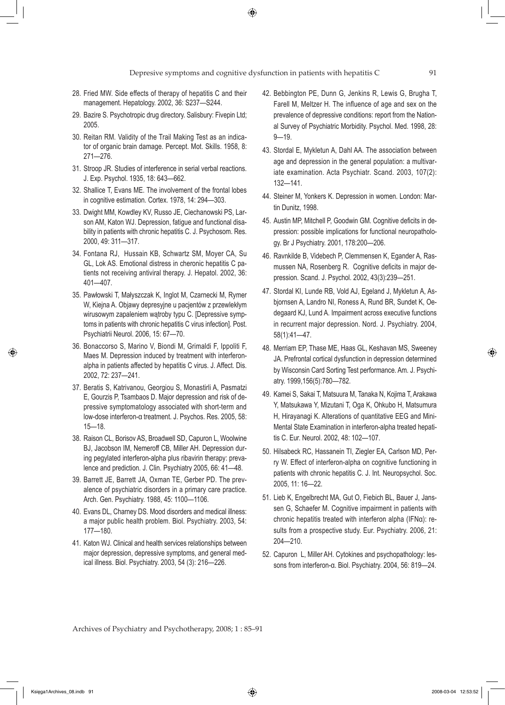- 28. Fried MW. Side effects of therapy of hepatitis C and their management. Hepatology. 2002, 36: S237—S244.
- 29. Bazire S. Psychotropic drug directory. Salisbury: Fivepin Ltd; 2005.
- 30. Reitan RM. Validity of the Trail Making Test as an indicator of organic brain damage. Percept. Mot. Skills. 1958, 8: 271—276.
- 31. Stroop JR. Studies of interference in serial verbal reactions. J. Exp. Psychol. 1935, 18: 643—662.
- 32. Shallice T, Evans ME. The involvement of the frontal lobes in cognitive estimation. Cortex. 1978, 14: 294—303.
- 33. Dwight MM, Kowdley KV, Russo JE, Ciechanowski PS, Larson AM, Katon WJ. Depression, fatigue and functional disability in patients with chronic hepatitis C. J. Psychosom. Res. 2000, 49: 311—317.
- 34. Fontana RJ, Hussain KB, Schwartz SM, Moyer CA, Su GL, Lok AS. Emotional distress in cheronic hepatitis C patients not receiving antiviral therapy. J. Hepatol. 2002, 36: 401—407.
- 35. Pawłowski T, Małyszczak K, Inglot M, Czarnecki M, Rymer W, Kiejna A. Objawy depresyjne u pacjentów z przewlekłym wirusowym zapaleniem wątroby typu C. [Depressive symptoms in patients with chronic hepatitis C virus infection]. Post. Psychiatrii Neurol. 2006, 15: 67—70.
- 36. Bonaccorso S, Marino V, Biondi M, Grimaldi F, Ippoliti F, Maes M. Depression induced by treatment with interferonalpha in patients affected by hepatitis C virus. J. Affect. Dis. 2002, 72: 237—241.
- 37. Beratis S, Katrivanou, Georgiou S, Monastirli A, Pasmatzi E, Gourzis P, Tsambaos D. Major depression and risk of depressive symptomatology associated with short-term and low-dose interferon-α treatment. J. Psychos. Res. 2005, 58: 15—18.
- 38. Raison CL, Borisov AS, Broadwell SD, Capuron L, Woolwine BJ, Jacobson IM, Nemeroff CB, Miller AH. Depression during pegylated interferon-alpha plus ribavirin therapy: prevalence and prediction. J. Clin. Psychiatry 2005, 66: 41—48.
- 39. Barrett JE, Barrett JA, Oxman TE, Gerber PD. The prevalence of psychiatric disorders in a primary care practice. Arch. Gen. Psychiatry. 1988, 45: 1100—1106.
- 40. Evans DL, Charney DS. Mood disorders and medical illness: a major public health problem. Biol. Psychiatry. 2003, 54: 177—180.
- 41. Katon WJ. Clinical and health services relationships between major depression, depressive symptoms, and general medical illness. Biol. Psychiatry. 2003, 54 (3): 216—226.
- 42. Bebbington PE, Dunn G, Jenkins R, Lewis G, Brugha T, Farell M, Meltzer H. The influence of age and sex on the prevalence of depressive conditions: report from the National Survey of Psychiatric Morbidity. Psychol. Med. 1998, 28: 9—19.
- 43. Stordal E, Mykletun A, Dahl AA. The association between age and depression in the general population: a multivariate examination. Acta Psychiatr. Scand. 2003, 107(2): 132—141.
- 44. Steiner M, Yonkers K. Depression in women. London: Martin Dunitz, 1998.
- 45. Austin MP, Mitchell P, Goodwin GM. Cognitive deficits in depression: possible implications for functional neuropathology. Br J Psychiatry. 2001, 178:200—206.
- 46. Ravnkilde B, Videbech P, Clemmensen K, Egander A, Rasmussen NA, Rosenberg R. Cognitive deficits in major depression. Scand. J. Psychol. 2002, 43(3):239—251.
- 47. Stordal KI, Lunde RB, Vold AJ, Egeland J, Mykletun A, Asbjornsen A, Landro NI, Roness A, Rund BR, Sundet K, Oedegaard KJ, Lund A. Impairment across executive functions in recurrent major depression. Nord. J. Psychiatry. 2004, 58(1):41—47.
- 48. Merriam EP, Thase ME, Haas GL, Keshavan MS, Sweeney JA. Prefrontal cortical dysfunction in depression determined by Wisconsin Card Sorting Test performance. Am. J. Psychiatry. 1999,156(5):780—782.
- 49. Kamei S, Sakai T, Matsuura M, Tanaka N, Kojima T, Arakawa Y, Matsukawa Y, Mizutani T, Oga K, Ohkubo H, Matsumura H, Hirayanagi K. Alterations of quantitative EEG and Mini-Mental State Examination in interferon-alpha treated hepatitis C. Eur. Neurol. 2002, 48: 102—107.
- 50. Hilsabeck RC, Hassanein TI, Ziegler EA, Carlson MD, Perry W. Effect of interferon-alpha on cognitive functioning in patients with chronic hepatitis C. J. Int. Neuropsychol. Soc. 2005, 11: 16—22.
- 51. Lieb K, Engelbrecht MA, Gut O, Fiebich BL, Bauer J, Janssen G, Schaefer M. Cognitive impairment in patients with chronic hepatitis treated with interferon alpha (IFNα): results from a prospective study. Eur. Psychiatry. 2006, 21: 204—210.
- 52. Capuron L, Miller AH. Cytokines and psychopathology: lessons from interferon-α. Biol. Psychiatry. 2004, 56: 819—24.

Archives of Psychiatry and Psychotherapy, 2008; 1 : 85–91

↔